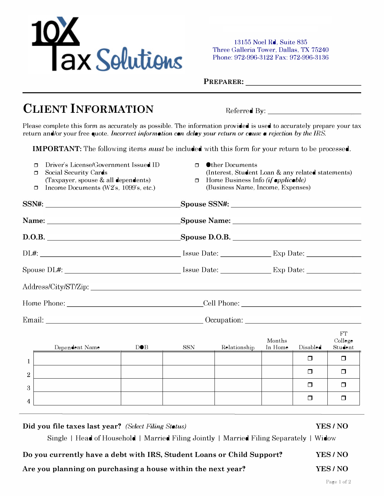

# CLIENT INFORMATION

| 10X<br>Tax Solutions                                                                                                                                                                                                                |                                                                                                                 | 13155 Noel Rd, Suite 835<br>Three Galleria Tower, Dallas, TX 75240<br>Phone: 972-996-3122 Fax: 972-996-3136<br>PREPARER: VALUE                         |                   |          |                          |  |
|-------------------------------------------------------------------------------------------------------------------------------------------------------------------------------------------------------------------------------------|-----------------------------------------------------------------------------------------------------------------|--------------------------------------------------------------------------------------------------------------------------------------------------------|-------------------|----------|--------------------------|--|
|                                                                                                                                                                                                                                     |                                                                                                                 |                                                                                                                                                        |                   |          |                          |  |
| <b>CLIENT INFORMATION</b>                                                                                                                                                                                                           |                                                                                                                 | Referred By:                                                                                                                                           |                   |          |                          |  |
| Please complete this form as accurately as possible. The information provided is used to accurately prepare your tax<br>return and/or your free quote. Incorrect information can delay your return or cause a rejection by the IRS. |                                                                                                                 |                                                                                                                                                        |                   |          |                          |  |
| <b>IMPORTANT:</b> The following items <i>must</i> be included with this form for your return to be processed.                                                                                                                       |                                                                                                                 |                                                                                                                                                        |                   |          |                          |  |
| Driver's License/Government Issued ID<br>$\Box$<br>Social Security Cards<br>$\Box$<br>(Taxpayer, spouse & all dependents)<br>Income Documents (W2's, 1099's, etc.)<br>$\Box$                                                        | $\Box$<br>$\Box$                                                                                                | <b>Other Documents</b><br>(Interest, Student Loan & any related statements)<br>Home Business Info (if applicable)<br>(Business Name, Income, Expenses) |                   |          |                          |  |
|                                                                                                                                                                                                                                     |                                                                                                                 |                                                                                                                                                        |                   |          |                          |  |
|                                                                                                                                                                                                                                     |                                                                                                                 | Spouse Name: Spouse Name:                                                                                                                              |                   |          |                          |  |
| D.O.B.                                                                                                                                                                                                                              |                                                                                                                 |                                                                                                                                                        |                   |          |                          |  |
|                                                                                                                                                                                                                                     |                                                                                                                 |                                                                                                                                                        |                   |          |                          |  |
|                                                                                                                                                                                                                                     |                                                                                                                 |                                                                                                                                                        |                   |          |                          |  |
|                                                                                                                                                                                                                                     |                                                                                                                 |                                                                                                                                                        |                   |          |                          |  |
|                                                                                                                                                                                                                                     |                                                                                                                 |                                                                                                                                                        |                   |          |                          |  |
|                                                                                                                                                                                                                                     |                                                                                                                 |                                                                                                                                                        |                   |          |                          |  |
| Dependent Name<br>$D \bullet B$                                                                                                                                                                                                     | SSN                                                                                                             | Relationship                                                                                                                                           | Months<br>In Home | Disabled | FT<br>College<br>Student |  |
| $\mathbf{1}$                                                                                                                                                                                                                        |                                                                                                                 |                                                                                                                                                        |                   | $\Box$   | $\Box$                   |  |
| $\sqrt{2}$                                                                                                                                                                                                                          |                                                                                                                 |                                                                                                                                                        |                   | $\Box$   | $\Box$                   |  |
| 3<br><u> 1989 - Johann Stein, Amerikaansk politiker († 1908)</u>                                                                                                                                                                    |                                                                                                                 |                                                                                                                                                        |                   | $\Box$   | $\Box$                   |  |
| 4<br>the contract of the contract of the contract of the contract of the contract of                                                                                                                                                | the contract of the contract of the contract of the contract of the contract of the contract of the contract of |                                                                                                                                                        |                   | □        | □                        |  |

#### Did you file taxes last year? (Select Filing Status)

#### YES/NO

Do you currently have a debt with IRS, Student Loans or Child Support? YES/NO

## Are you planning on purchasing a house within the next year?

YES / NO